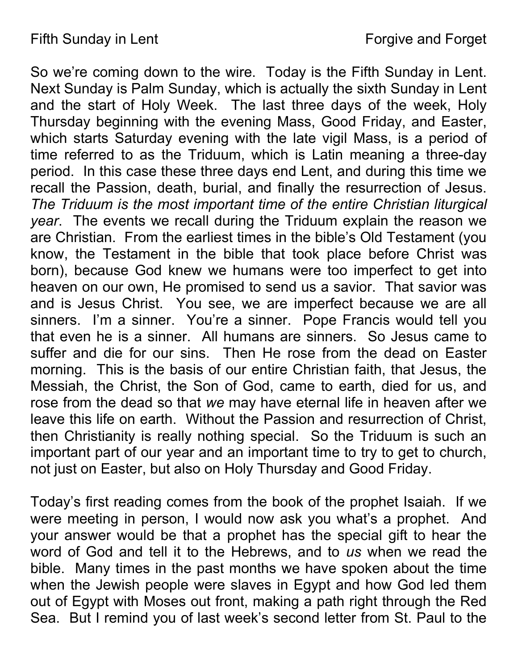So we're coming down to the wire. Today is the Fifth Sunday in Lent. Next Sunday is Palm Sunday, which is actually the sixth Sunday in Lent and the start of Holy Week. The last three days of the week, Holy Thursday beginning with the evening Mass, Good Friday, and Easter, which starts Saturday evening with the late vigil Mass, is a period of time referred to as the Triduum, which is Latin meaning a three-day period. In this case these three days end Lent, and during this time we recall the Passion, death, burial, and finally the resurrection of Jesus. The Triduum is the most important time of the entire Christian liturgical year. The events we recall during the Triduum explain the reason we are Christian. From the earliest times in the bible's Old Testament (you know, the Testament in the bible that took place before Christ was born), because God knew we humans were too imperfect to get into heaven on our own, He promised to send us a savior. That savior was and is Jesus Christ. You see, we are imperfect because we are all sinners. I'm a sinner. You're a sinner. Pope Francis would tell you that even he is a sinner. All humans are sinners. So Jesus came to suffer and die for our sins. Then He rose from the dead on Easter morning. This is the basis of our entire Christian faith, that Jesus, the Messiah, the Christ, the Son of God, came to earth, died for us, and rose from the dead so that we may have eternal life in heaven after we leave this life on earth. Without the Passion and resurrection of Christ, then Christianity is really nothing special. So the Triduum is such an important part of our year and an important time to try to get to church, not just on Easter, but also on Holy Thursday and Good Friday.

Today's first reading comes from the book of the prophet Isaiah. If we were meeting in person, I would now ask you what's a prophet. And your answer would be that a prophet has the special gift to hear the word of God and tell it to the Hebrews, and to us when we read the bible. Many times in the past months we have spoken about the time when the Jewish people were slaves in Egypt and how God led them out of Egypt with Moses out front, making a path right through the Red Sea. But I remind you of last week's second letter from St. Paul to the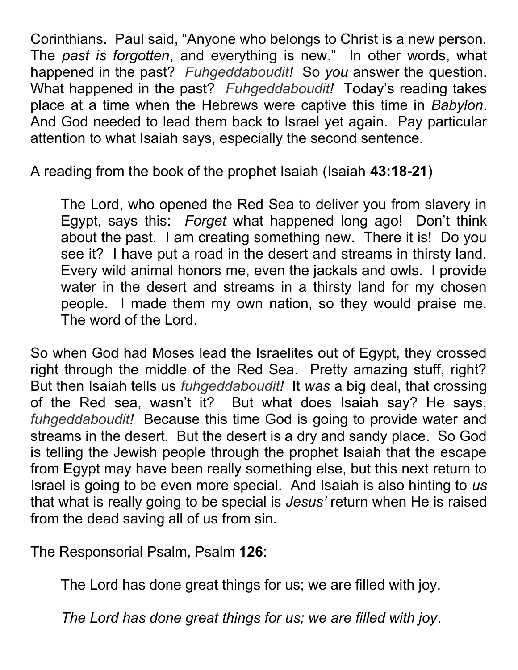Corinthians. Paul said, "Anyone who belongs to Christ is a new person. The past is forgotten, and everything is new." In other words, what happened in the past? Fuhgeddaboudit! So you answer the question. What happened in the past? Fuhgeddaboudit! Today's reading takes place at a time when the Hebrews were captive this time in Babylon. And God needed to lead them back to Israel yet again. Pay particular attention to what Isaiah says, especially the second sentence.

A reading from the book of the prophet Isaiah (Isaiah 43:18-21)

The Lord, who opened the Red Sea to deliver you from slavery in Egypt, says this: Forget what happened long ago! Don't think about the past. I am creating something new. There it is! Do you see it? I have put a road in the desert and streams in thirsty land. Every wild animal honors me, even the jackals and owls. I provide water in the desert and streams in a thirsty land for my chosen people. I made them my own nation, so they would praise me. The word of the Lord.

So when God had Moses lead the Israelites out of Egypt, they crossed right through the middle of the Red Sea. Pretty amazing stuff, right? But then Isaiah tells us *fuhgeddaboudit!* It was a big deal, that crossing of the Red sea, wasn't it? But what does Isaiah say? He says, fuhgeddaboudit! Because this time God is going to provide water and streams in the desert. But the desert is a dry and sandy place. So God is telling the Jewish people through the prophet Isaiah that the escape from Egypt may have been really something else, but this next return to Israel is going to be even more special. And Isaiah is also hinting to us that what is really going to be special is Jesus' return when He is raised from the dead saving all of us from sin.

The Responsorial Psalm, Psalm 126:

The Lord has done great things for us; we are filled with joy.

The Lord has done great things for us; we are filled with joy.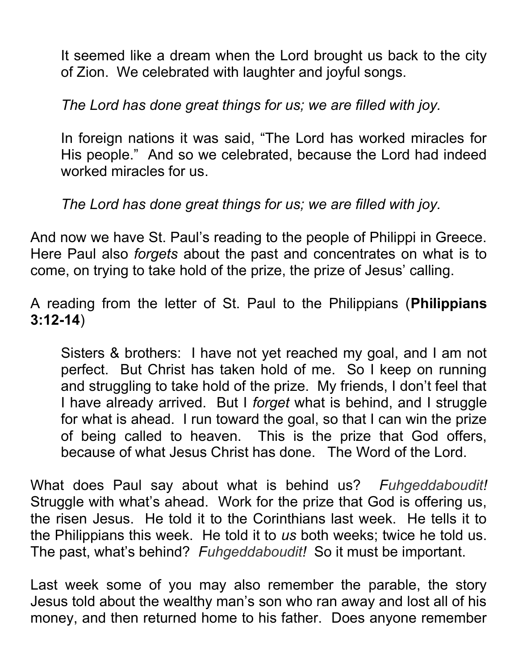It seemed like a dream when the Lord brought us back to the city of Zion. We celebrated with laughter and joyful songs.

The Lord has done great things for us; we are filled with joy.

In foreign nations it was said, "The Lord has worked miracles for His people." And so we celebrated, because the Lord had indeed worked miracles for us.

The Lord has done great things for us; we are filled with joy.

And now we have St. Paul's reading to the people of Philippi in Greece. Here Paul also forgets about the past and concentrates on what is to come, on trying to take hold of the prize, the prize of Jesus' calling.

A reading from the letter of St. Paul to the Philippians (Philippians 3:12-14)

Sisters & brothers: I have not yet reached my goal, and I am not perfect. But Christ has taken hold of me. So I keep on running and struggling to take hold of the prize. My friends, I don't feel that I have already arrived. But I forget what is behind, and I struggle for what is ahead. I run toward the goal, so that I can win the prize of being called to heaven. This is the prize that God offers, because of what Jesus Christ has done. The Word of the Lord.

What does Paul say about what is behind us? Fuhgeddaboudit! Struggle with what's ahead. Work for the prize that God is offering us, the risen Jesus. He told it to the Corinthians last week. He tells it to the Philippians this week. He told it to us both weeks; twice he told us. The past, what's behind? Fuhgeddaboudit! So it must be important.

Last week some of you may also remember the parable, the story Jesus told about the wealthy man's son who ran away and lost all of his money, and then returned home to his father. Does anyone remember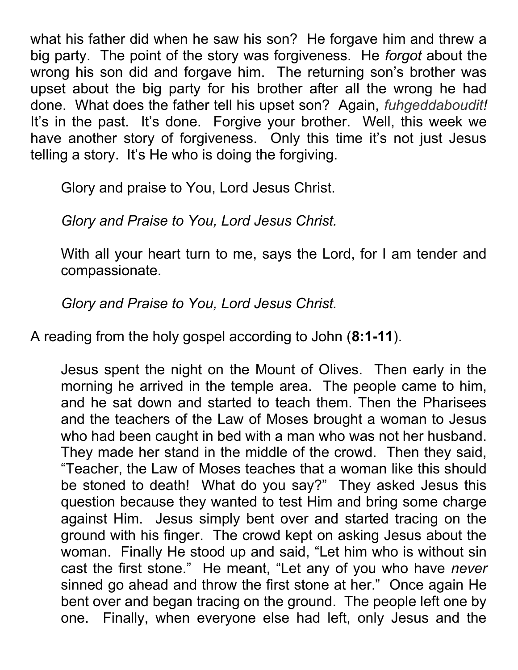what his father did when he saw his son? He forgave him and threw a big party. The point of the story was forgiveness. He forgot about the wrong his son did and forgave him. The returning son's brother was upset about the big party for his brother after all the wrong he had done. What does the father tell his upset son? Again, fuhgeddaboudit! It's in the past. It's done. Forgive your brother. Well, this week we have another story of forgiveness. Only this time it's not just Jesus telling a story. It's He who is doing the forgiving.

Glory and praise to You, Lord Jesus Christ.

Glory and Praise to You, Lord Jesus Christ.

With all your heart turn to me, says the Lord, for I am tender and compassionate.

Glory and Praise to You, Lord Jesus Christ.

A reading from the holy gospel according to John (8:1-11).

Jesus spent the night on the Mount of Olives. Then early in the morning he arrived in the temple area. The people came to him, and he sat down and started to teach them. Then the Pharisees and the teachers of the Law of Moses brought a woman to Jesus who had been caught in bed with a man who was not her husband. They made her stand in the middle of the crowd. Then they said, "Teacher, the Law of Moses teaches that a woman like this should be stoned to death! What do you say?" They asked Jesus this question because they wanted to test Him and bring some charge against Him. Jesus simply bent over and started tracing on the ground with his finger. The crowd kept on asking Jesus about the woman. Finally He stood up and said, "Let him who is without sin cast the first stone." He meant, "Let any of you who have never sinned go ahead and throw the first stone at her." Once again He bent over and began tracing on the ground. The people left one by one. Finally, when everyone else had left, only Jesus and the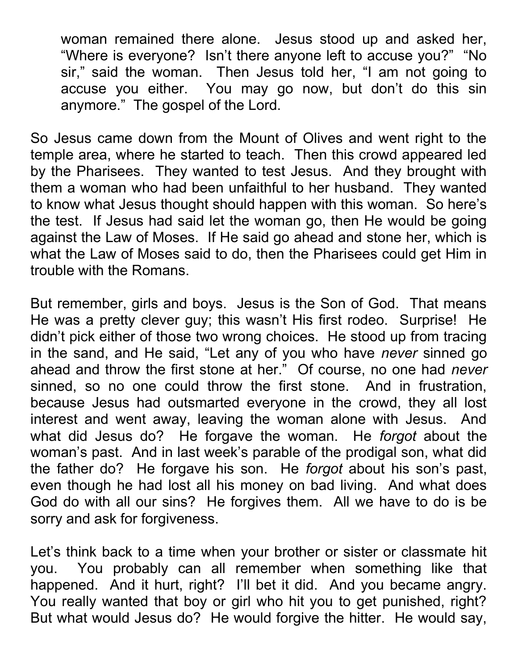woman remained there alone. Jesus stood up and asked her, "Where is everyone? Isn't there anyone left to accuse you?" "No sir," said the woman. Then Jesus told her, "I am not going to accuse you either. You may go now, but don't do this sin anymore." The gospel of the Lord.

So Jesus came down from the Mount of Olives and went right to the temple area, where he started to teach. Then this crowd appeared led by the Pharisees. They wanted to test Jesus. And they brought with them a woman who had been unfaithful to her husband. They wanted to know what Jesus thought should happen with this woman. So here's the test. If Jesus had said let the woman go, then He would be going against the Law of Moses. If He said go ahead and stone her, which is what the Law of Moses said to do, then the Pharisees could get Him in trouble with the Romans.

But remember, girls and boys. Jesus is the Son of God. That means He was a pretty clever guy; this wasn't His first rodeo. Surprise! He didn't pick either of those two wrong choices. He stood up from tracing in the sand, and He said, "Let any of you who have never sinned go ahead and throw the first stone at her." Of course, no one had *never* sinned, so no one could throw the first stone. And in frustration, because Jesus had outsmarted everyone in the crowd, they all lost interest and went away, leaving the woman alone with Jesus. And what did Jesus do? He forgave the woman. He forgot about the woman's past. And in last week's parable of the prodigal son, what did the father do? He forgave his son. He forgot about his son's past, even though he had lost all his money on bad living. And what does God do with all our sins? He forgives them. All we have to do is be sorry and ask for forgiveness.

Let's think back to a time when your brother or sister or classmate hit you. You probably can all remember when something like that happened. And it hurt, right? I'll bet it did. And you became angry. You really wanted that boy or girl who hit you to get punished, right? But what would Jesus do? He would forgive the hitter. He would say,